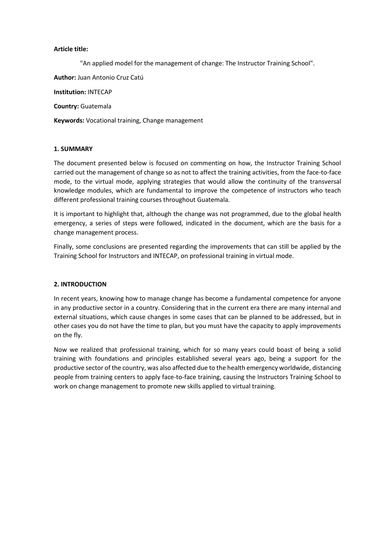#### **Article title:**

"An applied model for the management of change: The Instructor Training School".

**Author:** Juan Antonio Cruz Catú

**Institution:** INTECAP

**Country:** Guatemala

**Keywords:** Vocational training, Change management

#### **1. SUMMARY**

The document presented below is focused on commenting on how, the Instructor Training School carried out the management of change so as not to affect the training activities, from the face-to-face mode, to the virtual mode, applying strategies that would allow the continuity of the transversal knowledge modules, which are fundamental to improve the competence of instructors who teach different professional training courses throughout Guatemala.

It is important to highlight that, although the change was not programmed, due to the global health emergency, a series of steps were followed, indicated in the document, which are the basis for a change management process.

Finally, some conclusions are presented regarding the improvements that can still be applied by the Training School for Instructors and INTECAP, on professional training in virtual mode.

#### **2. INTRODUCTION**

In recent years, knowing how to manage change has become a fundamental competence for anyone in any productive sector in a country. Considering that in the current era there are many internal and external situations, which cause changes in some cases that can be planned to be addressed, but in other cases you do not have the time to plan, but you must have the capacity to apply improvements on the fly.

Now we realized that professional training, which for so many years could boast of being a solid training with foundations and principles established several years ago, being a support for the productive sector of the country, was also affected due to the health emergency worldwide, distancing people from training centers to apply face-to-face training, causing the Instructors Training School to work on change management to promote new skills applied to virtual training.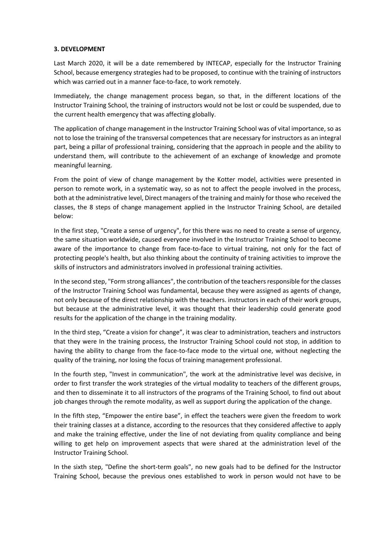# **3. DEVELOPMENT**

Last March 2020, it will be a date remembered by INTECAP, especially for the Instructor Training School, because emergency strategies had to be proposed, to continue with the training of instructors which was carried out in a manner face-to-face, to work remotely.

Immediately, the change management process began, so that, in the different locations of the Instructor Training School, the training of instructors would not be lost or could be suspended, due to the current health emergency that was affecting globally.

The application of change management in the Instructor Training School was of vital importance, so as not to lose the training of the transversal competences that are necessary for instructors as an integral part, being a pillar of professional training, considering that the approach in people and the ability to understand them, will contribute to the achievement of an exchange of knowledge and promote meaningful learning.

From the point of view of change management by the Kotter model, activities were presented in person to remote work, in a systematic way, so as not to affect the people involved in the process, both at the administrative level, Direct managers of the training and mainly for those who received the classes, the 8 steps of change management applied in the Instructor Training School, are detailed below:

In the first step, "Create a sense of urgency", for this there was no need to create a sense of urgency, the same situation worldwide, caused everyone involved in the Instructor Training School to become aware of the importance to change from face-to-face to virtual training, not only for the fact of protecting people's health, but also thinking about the continuity of training activities to improve the skills of instructors and administrators involved in professional training activities.

In the second step, "Form strong alliances", the contribution of the teachers responsible for the classes of the Instructor Training School was fundamental, because they were assigned as agents of change, not only because of the direct relationship with the teachers. instructors in each of their work groups, but because at the administrative level, it was thought that their leadership could generate good results for the application of the change in the training modality.

In the third step, "Create a vision for change", it was clear to administration, teachers and instructors that they were In the training process, the Instructor Training School could not stop, in addition to having the ability to change from the face-to-face mode to the virtual one, without neglecting the quality of the training, nor losing the focus of training management professional.

In the fourth step, "Invest in communication", the work at the administrative level was decisive, in order to first transfer the work strategies of the virtual modality to teachers of the different groups, and then to disseminate it to all instructors of the programs of the Training School, to find out about job changes through the remote modality, as well as support during the application of the change.

In the fifth step, "Empower the entire base", in effect the teachers were given the freedom to work their training classes at a distance, according to the resources that they considered affective to apply and make the training effective, under the line of not deviating from quality compliance and being willing to get help on improvement aspects that were shared at the administration level of the Instructor Training School.

In the sixth step, "Define the short-term goals", no new goals had to be defined for the Instructor Training School, because the previous ones established to work in person would not have to be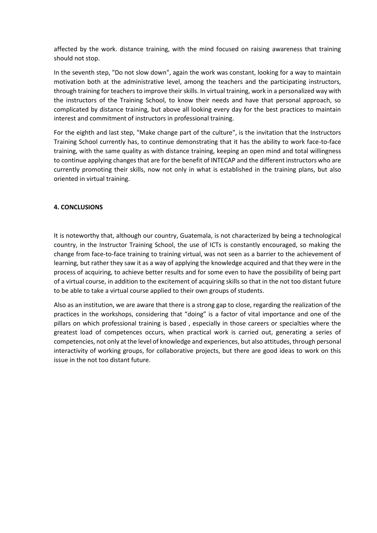affected by the work. distance training, with the mind focused on raising awareness that training should not stop.

In the seventh step, "Do not slow down", again the work was constant, looking for a way to maintain motivation both at the administrative level, among the teachers and the participating instructors, through training for teachers to improve their skills. In virtual training, work in a personalized way with the instructors of the Training School, to know their needs and have that personal approach, so complicated by distance training, but above all looking every day for the best practices to maintain interest and commitment of instructors in professional training.

For the eighth and last step, "Make change part of the culture", is the invitation that the Instructors Training School currently has, to continue demonstrating that it has the ability to work face-to-face training, with the same quality as with distance training, keeping an open mind and total willingness to continue applying changes that are for the benefit of INTECAP and the different instructors who are currently promoting their skills, now not only in what is established in the training plans, but also oriented in virtual training.

# **4. CONCLUSIONS**

It is noteworthy that, although our country, Guatemala, is not characterized by being a technological country, in the Instructor Training School, the use of ICTs is constantly encouraged, so making the change from face-to-face training to training virtual, was not seen as a barrier to the achievement of learning, but rather they saw it as a way of applying the knowledge acquired and that they were in the process of acquiring, to achieve better results and for some even to have the possibility of being part of a virtual course, in addition to the excitement of acquiring skills so that in the not too distant future to be able to take a virtual course applied to their own groups of students.

Also as an institution, we are aware that there is a strong gap to close, regarding the realization of the practices in the workshops, considering that "doing" is a factor of vital importance and one of the pillars on which professional training is based , especially in those careers or specialties where the greatest load of competences occurs, when practical work is carried out, generating a series of competencies, not only at the level of knowledge and experiences, but also attitudes, through personal interactivity of working groups, for collaborative projects, but there are good ideas to work on this issue in the not too distant future.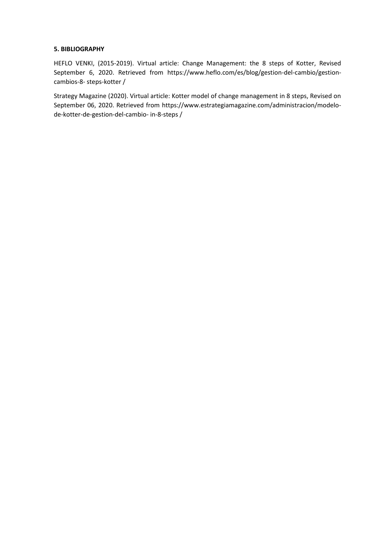### **5. BIBLIOGRAPHY**

HEFLO VENKI, (2015-2019). Virtual article: Change Management: the 8 steps of Kotter, Revised September 6, 2020. Retrieved from https://www.heflo.com/es/blog/gestion-del-cambio/gestioncambios-8- steps-kotter /

Strategy Magazine (2020). Virtual article: Kotter model of change management in 8 steps, Revised on September 06, 2020. Retrieved from https://www.estrategiamagazine.com/administracion/modelode-kotter-de-gestion-del-cambio- in-8-steps /